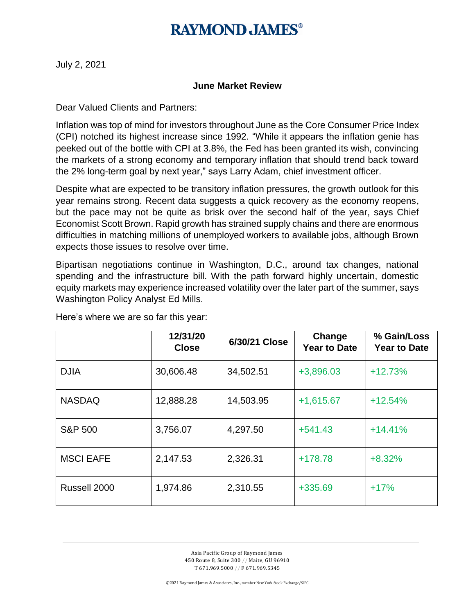## **RAYMOND, JAMES®**

July 2, 2021

#### **June Market Review**

Dear Valued Clients and Partners:

Inflation was top of mind for investors throughout June as the Core Consumer Price Index (CPI) notched its highest increase since 1992. "While it appears the inflation genie has peeked out of the bottle with CPI at 3.8%, the Fed has been granted its wish, convincing the markets of a strong economy and temporary inflation that should trend back toward the 2% long-term goal by next year," says Larry Adam, chief investment officer.

Despite what are expected to be transitory inflation pressures, the growth outlook for this year remains strong. Recent data suggests a quick recovery as the economy reopens, but the pace may not be quite as brisk over the second half of the year, says Chief Economist Scott Brown. Rapid growth has strained supply chains and there are enormous difficulties in matching millions of unemployed workers to available jobs, although Brown expects those issues to resolve over time.

Bipartisan negotiations continue in Washington, D.C., around tax changes, national spending and the infrastructure bill. With the path forward highly uncertain, domestic equity markets may experience increased volatility over the later part of the summer, says Washington Policy Analyst Ed Mills.

|                    | 12/31/20<br><b>Close</b> | 6/30/21 Close | Change<br><b>Year to Date</b> | % Gain/Loss<br><b>Year to Date</b> |
|--------------------|--------------------------|---------------|-------------------------------|------------------------------------|
| <b>DJIA</b>        | 30,606.48                | 34,502.51     | +3,896.03                     | $+12.73%$                          |
| <b>NASDAQ</b>      | 12,888.28                | 14,503.95     | $+1,615.67$                   | $+12.54%$                          |
| <b>S&amp;P 500</b> | 3,756.07                 | 4,297.50      | $+541.43$                     | $+14.41%$                          |
| <b>MSCI EAFE</b>   | 2,147.53                 | 2,326.31      | $+178.78$                     | $+8.32%$                           |
| Russell 2000       | 1,974.86                 | 2,310.55      | +335.69                       | $+17%$                             |

Here's where we are so far this year: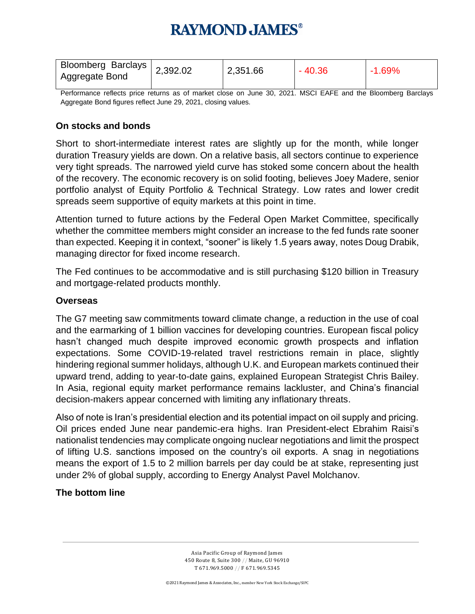# **RAYMOND, JAMES®**

| Bloomberg Barclays 2,392.02<br>Aggregate Bond |  | 2,351.66 | $-40.36$ | $-1.69%$ |
|-----------------------------------------------|--|----------|----------|----------|
|-----------------------------------------------|--|----------|----------|----------|

Performance reflects price returns as of market close on June 30, 2021. MSCI EAFE and the Bloomberg Barclays Aggregate Bond figures reflect June 29, 2021, closing values.

#### **On stocks and bonds**

Short to short-intermediate interest rates are slightly up for the month, while longer duration Treasury yields are down. On a relative basis, all sectors continue to experience very tight spreads. The narrowed yield curve has stoked some concern about the health of the recovery. The economic recovery is on solid footing, believes Joey Madere, senior portfolio analyst of Equity Portfolio & Technical Strategy. Low rates and lower credit spreads seem supportive of equity markets at this point in time.

Attention turned to future actions by the Federal Open Market Committee, specifically whether the committee members might consider an increase to the fed funds rate sooner than expected. Keeping it in context, "sooner" is likely 1.5 years away, notes Doug Drabik, managing director for fixed income research.

The Fed continues to be accommodative and is still purchasing \$120 billion in Treasury and mortgage-related products monthly.

#### **Overseas**

The G7 meeting saw commitments toward climate change, a reduction in the use of coal and the earmarking of 1 billion vaccines for developing countries. European fiscal policy hasn't changed much despite improved economic growth prospects and inflation expectations. Some COVID-19-related travel restrictions remain in place, slightly hindering regional summer holidays, although U.K. and European markets continued their upward trend, adding to year-to-date gains, explained European Strategist Chris Bailey. In Asia, regional equity market performance remains lackluster, and China's financial decision-makers appear concerned with limiting any inflationary threats.

Also of note is Iran's presidential election and its potential impact on oil supply and pricing. Oil prices ended June near pandemic-era highs. Iran President-elect Ebrahim Raisi's nationalist tendencies may complicate ongoing nuclear negotiations and limit the prospect of lifting U.S. sanctions imposed on the country's oil exports. A snag in negotiations means the export of 1.5 to 2 million barrels per day could be at stake, representing just under 2% of global supply, according to Energy Analyst Pavel Molchanov.

#### **The bottom line**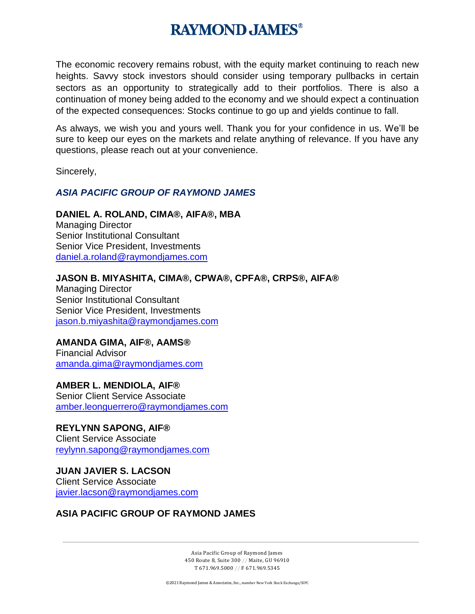## **RAYMOND, JAMES®**

The economic recovery remains robust, with the equity market continuing to reach new heights. Savvy stock investors should consider using temporary pullbacks in certain sectors as an opportunity to strategically add to their portfolios. There is also a continuation of money being added to the economy and we should expect a continuation of the expected consequences: Stocks continue to go up and yields continue to fall.

As always, we wish you and yours well. Thank you for your confidence in us. We'll be sure to keep our eyes on the markets and relate anything of relevance. If you have any questions, please reach out at your convenience.

Sincerely,

#### *ASIA PACIFIC GROUP OF RAYMOND JAMES*

#### **DANIEL A. ROLAND, CIMA®, AIFA®, MBA**

Managing Director Senior Institutional Consultant Senior Vice President, Investments [daniel.a.roland@raymondjames.com](mailto:daniel.a.roland@raymondjames.com)

#### **JASON B. MIYASHITA, CIMA®, CPWA®, CPFA®, CRPS®, AIFA®**

Managing Director Senior Institutional Consultant Senior Vice President, Investments [jason.b.miyashita@raymondjames.com](mailto:jason.b.miyashita@raymondjames.com)

### **AMANDA GIMA, AIF®, AAMS®**

Financial Advisor [amanda.gima@raymondjames.com](mailto:amanda.gima@raymondjames.com)

#### **AMBER L. MENDIOLA, AIF®**

Senior Client Service Associate [amber.leonguerrero@raymondjames.com](mailto:amber.leonguerrero@raymondjames.com)

#### **REYLYNN SAPONG, AIF®**

Client Service Associate [reylynn.sapong@raymondjames.com](mailto:reylynn.sapong@raymondjames.com)

#### **JUAN JAVIER S. LACSON** Client Service Associate [javier.lacson@raymondjames.com](mailto:javier.lacson@raymondjames.com)

### **ASIA PACIFIC GROUP OF RAYMOND JAMES**